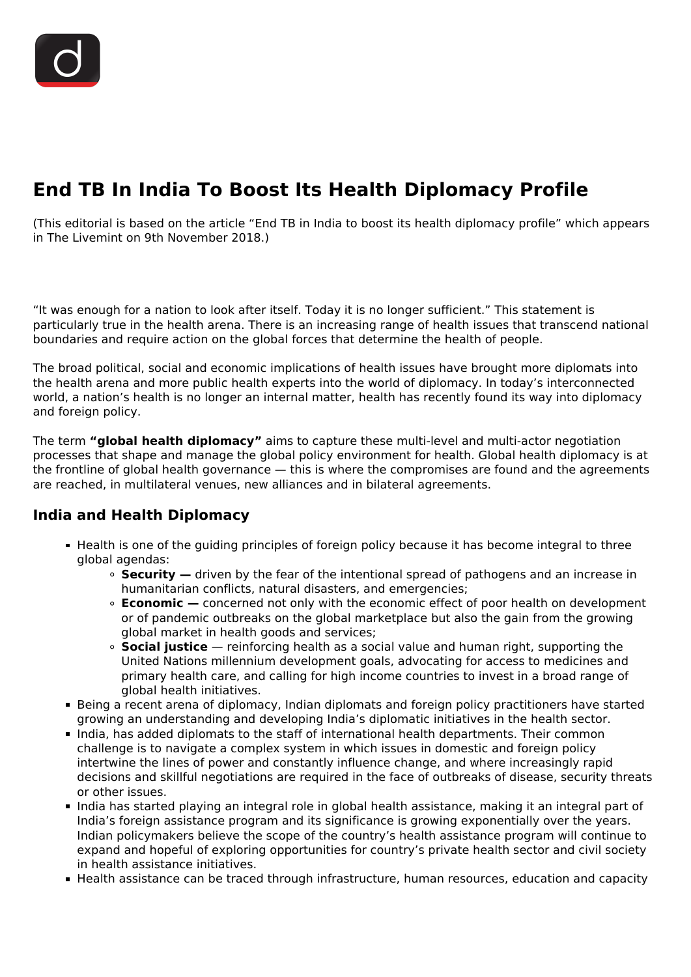# **End TB In India To Boost Its Health Diplomacy Profile**

(This editorial is based on the article "End TB in India to boost its health diplomacy profile" which appears in The Livemint on 9th November 2018.)

"It was enough for a nation to look after itself. Today it is no longer sufficient." This statement is particularly true in the health arena. There is an increasing range of health issues that transcend national boundaries and require action on the global forces that determine the health of people.

The broad political, social and economic implications of health issues have brought more diplomats into the health arena and more public health experts into the world of diplomacy. In today's interconnected world, a nation's health is no longer an internal matter, health has recently found its way into diplomacy and foreign policy.

The term **"global health diplomacy"** aims to capture these multi-level and multi-actor negotiation processes that shape and manage the global policy environment for health. Global health diplomacy is at the frontline of global health governance — this is where the compromises are found and the agreements are reached, in multilateral venues, new alliances and in bilateral agreements.

## **India and Health Diplomacy**

- Health is one of the guiding principles of foreign policy because it has become integral to three global agendas:
	- **Security —** driven by the fear of the intentional spread of pathogens and an increase in humanitarian conflicts, natural disasters, and emergencies;
	- **Economic** − concerned not only with the economic effect of poor health on development or of pandemic outbreaks on the global marketplace but also the gain from the growing global market in health goods and services;
	- **Social justice** reinforcing health as a social value and human right, supporting the United Nations millennium development goals, advocating for access to medicines and primary health care, and calling for high income countries to invest in a broad range of global health initiatives.
- Being a recent arena of diplomacy, Indian diplomats and foreign policy practitioners have started growing an understanding and developing India's diplomatic initiatives in the health sector.
- India, has added diplomats to the staff of international health departments. Their common challenge is to navigate a complex system in which issues in domestic and foreign policy intertwine the lines of power and constantly influence change, and where increasingly rapid decisions and skillful negotiations are required in the face of outbreaks of disease, security threats or other issues.
- India has started playing an integral role in global health assistance, making it an integral part of India's foreign assistance program and its significance is growing exponentially over the years. Indian policymakers believe the scope of the country's health assistance program will continue to expand and hopeful of exploring opportunities for country's private health sector and civil society in health assistance initiatives.
- Health assistance can be traced through infrastructure, human resources, education and capacity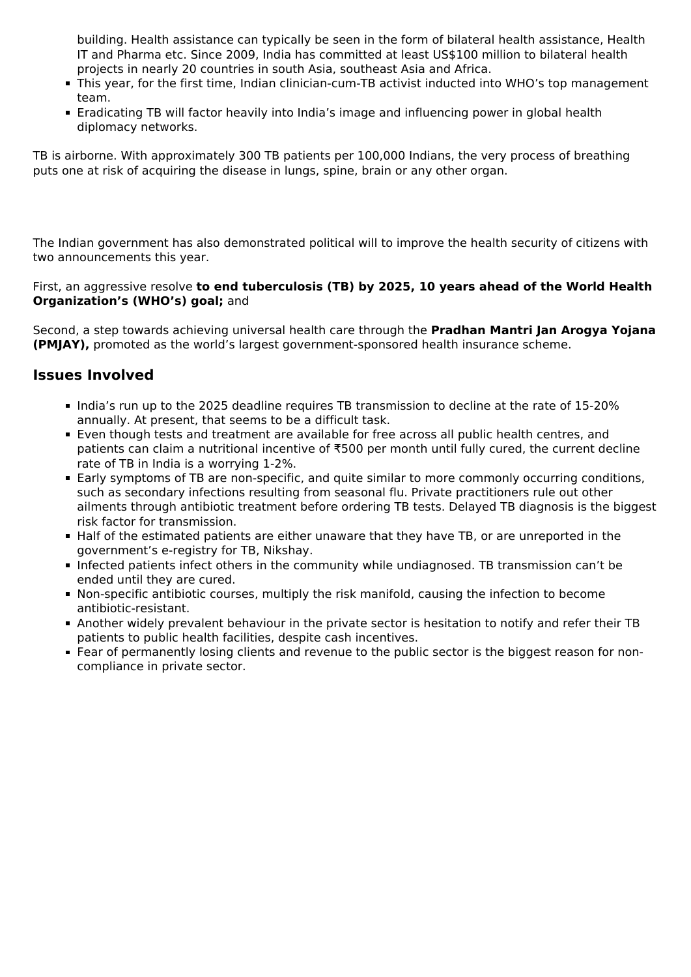building. Health assistance can typically be seen in the form of bilateral health assistance, Health IT and Pharma etc. Since 2009, India has committed at least US\$100 million to bilateral health projects in nearly 20 countries in south Asia, southeast Asia and Africa.

- This year, for the first time, Indian clinician-cum-TB activist inducted into WHO's top management team.
- **Eradicating TB will factor heavily into India's image and influencing power in global health** diplomacy networks.

TB is airborne. With approximately 300 TB patients per 100,000 Indians, the very process of breathing puts one at risk of acquiring the disease in lungs, spine, brain or any other organ.

The Indian government has also demonstrated political will to improve the health security of citizens with two announcements this year.

#### First, an aggressive resolve **to end tuberculosis (TB) by 2025, 10 years ahead of the World Health Organization's (WHO's) goal;** and

Second, a step towards achieving universal health care through the **Pradhan Mantri Jan Arogya Yojana (PMJAY),** promoted as the world's largest government-sponsored health insurance scheme.

## **Issues Involved**

- India's run up to the 2025 deadline requires TB transmission to decline at the rate of 15-20% annually. At present, that seems to be a difficult task.
- Even though tests and treatment are available for free across all public health centres, and patients can claim a nutritional incentive of ₹500 per month until fully cured, the current decline rate of TB in India is a worrying 1-2%.
- Early symptoms of TB are non-specific, and quite similar to more commonly occurring conditions, such as secondary infections resulting from seasonal flu. Private practitioners rule out other ailments through antibiotic treatment before ordering TB tests. Delayed TB diagnosis is the biggest risk factor for transmission.
- Half of the estimated patients are either unaware that they have TB, or are unreported in the government's e-registry for TB, Nikshay.
- Infected patients infect others in the community while undiagnosed. TB transmission can't be ended until they are cured.
- Non-specific antibiotic courses, multiply the risk manifold, causing the infection to become antibiotic-resistant.
- Another widely prevalent behaviour in the private sector is hesitation to notify and refer their TB patients to public health facilities, despite cash incentives.
- Fear of permanently losing clients and revenue to the public sector is the biggest reason for noncompliance in private sector.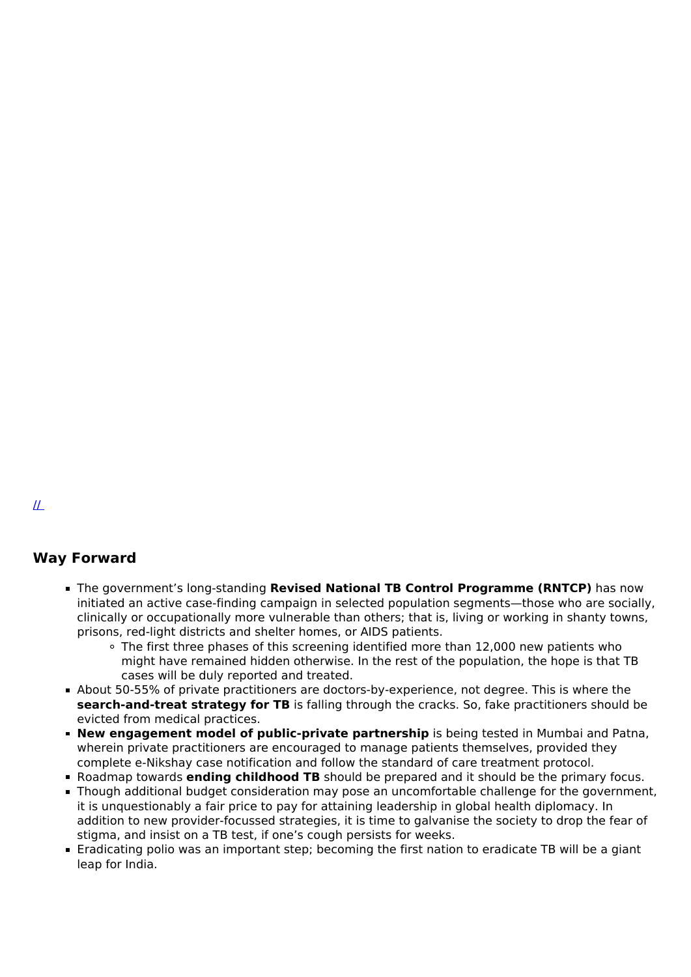### **Way Forward**

- The government's long-standing **Revised National TB Control Programme (RNTCP)** has now initiated an active case-finding campaign in selected population segments—those who are socially, clinically or occupationally more vulnerable than others; that is, living or working in shanty towns, prisons, red-light districts and shelter homes, or AIDS patients.
	- The first three phases of this screening identified more than 12,000 new patients who might have remained hidden otherwise. In the rest of the population, the hope is that TB cases will be duly reported and treated.
- About 50-55% of private practitioners are doctors-by-experience, not degree. This is where the **search-and-treat strategy for TB** is falling through the cracks. So, fake practitioners should be evicted from medical practices.
- **New engagement model of public-private partnership** is being tested in Mumbai and Patna, wherein private practitioners are encouraged to manage patients themselves, provided they complete e-Nikshay case notification and follow the standard of care treatment protocol.
- Roadmap towards **ending childhood TB** should be prepared and it should be the primary focus.
- Though additional budget consideration may pose an uncomfortable challenge for the government, it is unquestionably a fair price to pay for attaining leadership in global health diplomacy. In addition to new provider-focussed strategies, it is time to galvanise the society to drop the fear of stigma, and insist on a TB test, if one's cough persists for weeks.
- Eradicating polio was an important step; becoming the first nation to eradicate TB will be a giant leap for India.